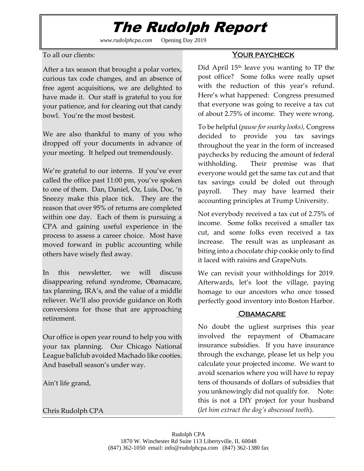# The Rudolph Report

*www.rudolphcpa.com* Opening Day 2019

To all our clients:

After a tax season that brought a polar vortex, curious tax code changes, and an absence of free agent acquisitions, we are delighted to have made it. Our staff is grateful to you for your patience, and for clearing out that candy bowl. You're the most bestest.

We are also thankful to many of you who dropped off your documents in advance of your meeting. It helped out tremendously.

We're grateful to our interns. If you've ever called the office past 11:00 pm, you've spoken to one of them. Dan, Daniel, Oz, Luis, Doc, 'n Sneezy make this place tick. They are the reason that over 95% of returns are completed within one day. Each of them is pursuing a CPA and gaining useful experience in the process to assess a career choice. Most have moved forward in public accounting while others have wisely fled away.

In this newsletter, we will discuss disappearing refund syndrome, Obamacare, tax planning, IRA's, and the value of a middle reliever. We'll also provide guidance on Roth conversions for those that are approaching retirement.

Our office is open year round to help you with your tax planning. Our Chicago National League ballclub avoided Machado like cooties. And baseball season's under way.

Ain't life grand,

## Chris Rudolph CPA

## Your paycheck

Did April 15<sup>th</sup> leave you wanting to TP the post office? Some folks were really upset with the reduction of this year's refund. Here's what happened: Congress presumed that everyone was going to receive a tax cut of about 2.75% of income. They were wrong.

To be helpful (*pause for snarky looks),* Congress decided to provide you tax savings throughout the year in the form of increased paychecks by reducing the amount of federal withholding. Their premise was that everyone would get the same tax cut and that tax savings could be doled out through payroll. They may have learned their accounting principles at Trump University.

Not everybody received a tax cut of 2.75% of income. Some folks received a smaller tax cut, and some folks even received a tax increase. The result was as unpleasant as biting into a chocolate chip cookie only to find it laced with raisins and GrapeNuts.

We can revisit your withholdings for 2019. Afterwards, let's loot the village, paying homage to our ancestors who once tossed perfectly good inventory into Boston Harbor.

## **OBAMACARE**

No doubt the ugliest surprises this year involved the repayment of Obamacare insurance subsidies. If you have insurance through the exchange, please let us help you calculate your projected income. We want to avoid scenarios where you will have to repay tens of thousands of dollars of subsidies that you unknowingly did not qualify for. Note: this is not a DIY project for your husband (*let him extract the dog's abscessed tooth*).